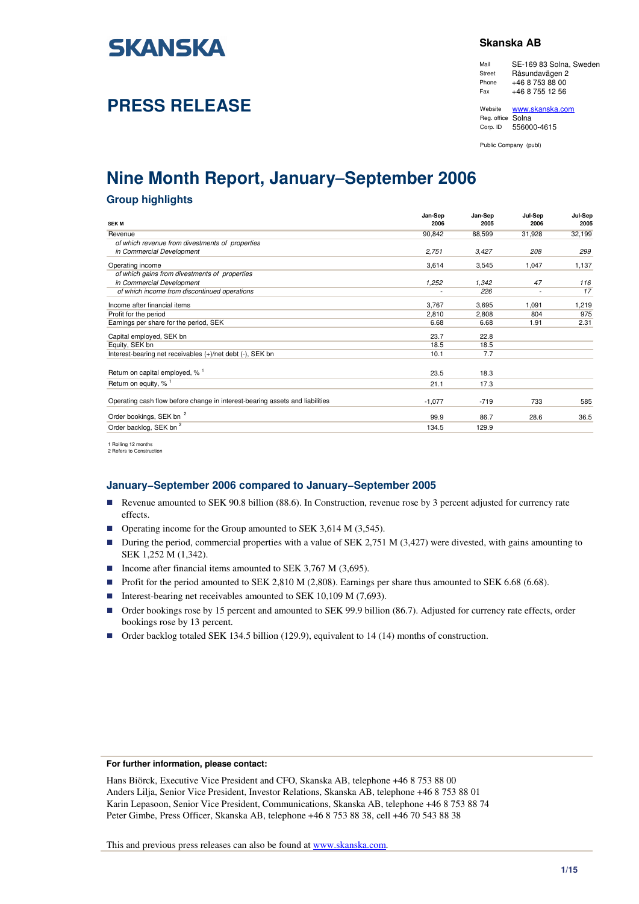

# **PRESS RELEASE**

### **Skanska AB**

Mail SE-169 83 Solna, Sweden Street Råsundavägen 2 Phone +46 8 753 88 00<br>Fax +46 8 755 12 56  $+46$  8 755 12 56

Website www.skanska.com Reg. office Solna Corp. ID 556000-4615

Public Company (publ)

# **Nine Month Report, January**−**September 2006**

### **Group highlights**

| <b>SEK M</b>                                                                 | Jan-Sep<br>2006 | Jan-Sep<br>2005 | Jul-Sep<br>2006          | Jul-Sep<br>2005 |
|------------------------------------------------------------------------------|-----------------|-----------------|--------------------------|-----------------|
| Revenue                                                                      | 90,842          | 88,599          | 31,928                   | 32,199          |
| of which revenue from divestments of properties                              |                 |                 |                          |                 |
| in Commercial Development                                                    | 2,751           | 3,427           | 208                      | 299             |
| Operating income                                                             | 3,614           | 3,545           | 1,047                    | 1,137           |
| of which gains from divestments of properties                                |                 |                 |                          |                 |
| in Commercial Development                                                    | 1,252           | 1,342           | 47                       | 116             |
| of which income from discontinued operations                                 |                 | 226             | $\overline{\phantom{a}}$ | 17              |
| Income after financial items                                                 | 3,767           | 3,695           | 1,091                    | 1,219           |
| Profit for the period                                                        | 2,810           | 2.808           | 804                      | 975             |
| Earnings per share for the period, SEK                                       | 6.68            | 6.68            | 1.91                     | 2.31            |
| Capital employed, SEK bn                                                     | 23.7            | 22.8            |                          |                 |
| Equity, SEK bn                                                               | 18.5            | 18.5            |                          |                 |
| Interest-bearing net receivables (+)/net debt (-), SEK bn                    | 10.1            | 7.7             |                          |                 |
| Return on capital employed, % <sup>1</sup>                                   | 23.5            | 18.3            |                          |                 |
|                                                                              |                 |                 |                          |                 |
| Return on equity, % <sup>1</sup>                                             | 21.1            | 17.3            |                          |                 |
| Operating cash flow before change in interest-bearing assets and liabilities | $-1,077$        | $-719$          | 733                      | 585             |
| Order bookings, SEK bn <sup>2</sup>                                          | 99.9            | 86.7            | 28.6                     | 36.5            |
| Order backlog, SEK bn <sup>2</sup>                                           | 134.5           | 129.9           |                          |                 |
|                                                                              |                 |                 |                          |                 |

1 Rolling 12 months 2 Refers to Construction

### **January−September 2006 compared to January−September 2005**

- Revenue amounted to SEK 90.8 billion (88.6). In Construction, revenue rose by 3 percent adjusted for currency rate effects.
- Operating income for the Group amounted to SEK 3,614 M (3,545).
- During the period, commercial properties with a value of SEK 2,751 M (3,427) were divested, with gains amounting to SEK 1,252 M (1,342).
- Income after financial items amounted to SEK 3,767 M (3,695).
- Profit for the period amounted to SEK 2,810 M (2,808). Earnings per share thus amounted to SEK 6.68 (6.68).
- Interest-bearing net receivables amounted to SEK 10,109 M (7,693).
- Order bookings rose by 15 percent and amounted to SEK 99.9 billion (86.7). Adjusted for currency rate effects, order bookings rose by 13 percent.
- Order backlog totaled SEK 134.5 billion (129.9), equivalent to 14 (14) months of construction.

#### **For further information, please contact:**

Hans Biörck, Executive Vice President and CFO, Skanska AB, telephone +46 8 753 88 00 Anders Lilja, Senior Vice President, Investor Relations, Skanska AB, telephone +46 8 753 88 01 Karin Lepasoon, Senior Vice President, Communications, Skanska AB, telephone +46 8 753 88 74 Peter Gimbe, Press Officer, Skanska AB, telephone +46 8 753 88 38, cell +46 70 543 88 38

This and previous press releases can also be found at www.skanska.com.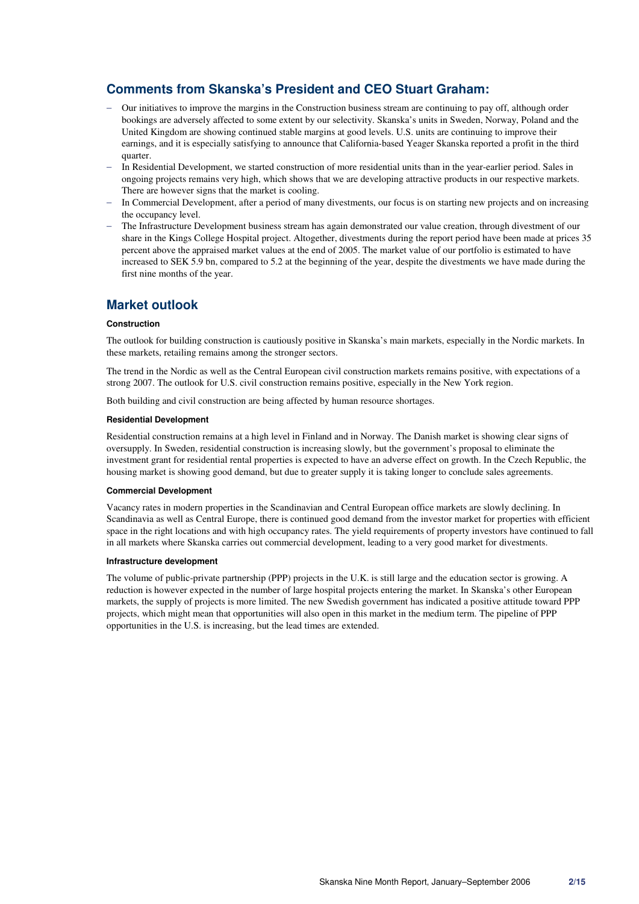# **Comments from Skanska's President and CEO Stuart Graham:**

- − Our initiatives to improve the margins in the Construction business stream are continuing to pay off, although order bookings are adversely affected to some extent by our selectivity. Skanska's units in Sweden, Norway, Poland and the United Kingdom are showing continued stable margins at good levels. U.S. units are continuing to improve their earnings, and it is especially satisfying to announce that California-based Yeager Skanska reported a profit in the third quarter.
- − In Residential Development, we started construction of more residential units than in the year-earlier period. Sales in ongoing projects remains very high, which shows that we are developing attractive products in our respective markets. There are however signs that the market is cooling.
- In Commercial Development, after a period of many divestments, our focus is on starting new projects and on increasing the occupancy level.
- − The Infrastructure Development business stream has again demonstrated our value creation, through divestment of our share in the Kings College Hospital project. Altogether, divestments during the report period have been made at prices 35 percent above the appraised market values at the end of 2005. The market value of our portfolio is estimated to have increased to SEK 5.9 bn, compared to 5.2 at the beginning of the year, despite the divestments we have made during the first nine months of the year.

# **Market outlook**

### **Construction**

The outlook for building construction is cautiously positive in Skanska's main markets, especially in the Nordic markets. In these markets, retailing remains among the stronger sectors.

The trend in the Nordic as well as the Central European civil construction markets remains positive, with expectations of a strong 2007. The outlook for U.S. civil construction remains positive, especially in the New York region.

Both building and civil construction are being affected by human resource shortages.

### **Residential Development**

Residential construction remains at a high level in Finland and in Norway. The Danish market is showing clear signs of oversupply. In Sweden, residential construction is increasing slowly, but the government's proposal to eliminate the investment grant for residential rental properties is expected to have an adverse effect on growth. In the Czech Republic, the housing market is showing good demand, but due to greater supply it is taking longer to conclude sales agreements.

### **Commercial Development**

Vacancy rates in modern properties in the Scandinavian and Central European office markets are slowly declining. In Scandinavia as well as Central Europe, there is continued good demand from the investor market for properties with efficient space in the right locations and with high occupancy rates. The yield requirements of property investors have continued to fall in all markets where Skanska carries out commercial development, leading to a very good market for divestments.

### **Infrastructure development**

The volume of public-private partnership (PPP) projects in the U.K. is still large and the education sector is growing. A reduction is however expected in the number of large hospital projects entering the market. In Skanska's other European markets, the supply of projects is more limited. The new Swedish government has indicated a positive attitude toward PPP projects, which might mean that opportunities will also open in this market in the medium term. The pipeline of PPP opportunities in the U.S. is increasing, but the lead times are extended.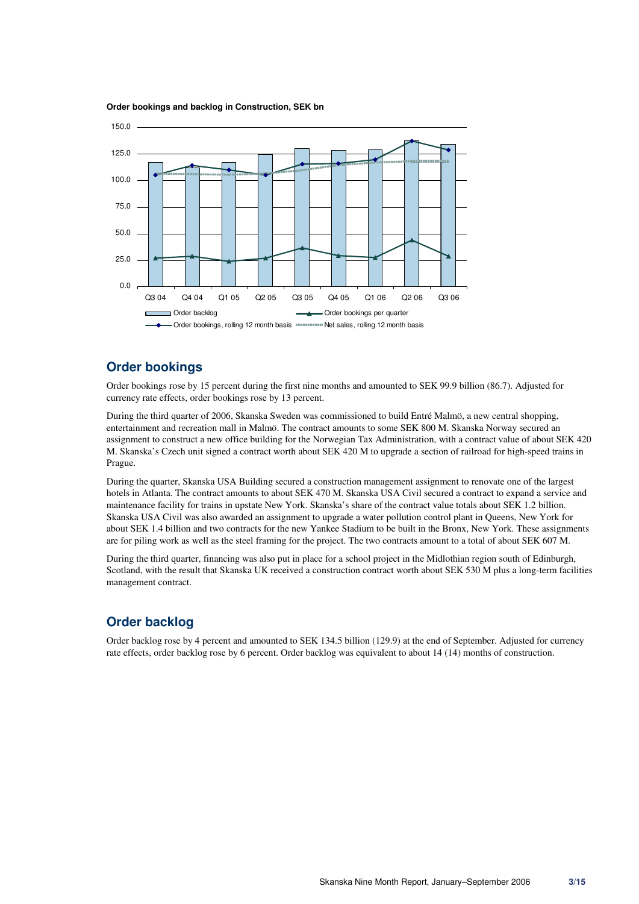

**Order bookings and backlog in Construction, SEK bn** 

### **Order bookings**

Order bookings rose by 15 percent during the first nine months and amounted to SEK 99.9 billion (86.7). Adjusted for currency rate effects, order bookings rose by 13 percent.

During the third quarter of 2006, Skanska Sweden was commissioned to build Entré Malmö, a new central shopping, entertainment and recreation mall in Malmö. The contract amounts to some SEK 800 M. Skanska Norway secured an assignment to construct a new office building for the Norwegian Tax Administration, with a contract value of about SEK 420 M. Skanska's Czech unit signed a contract worth about SEK 420 M to upgrade a section of railroad for high-speed trains in Prague.

During the quarter, Skanska USA Building secured a construction management assignment to renovate one of the largest hotels in Atlanta. The contract amounts to about SEK 470 M. Skanska USA Civil secured a contract to expand a service and maintenance facility for trains in upstate New York. Skanska's share of the contract value totals about SEK 1.2 billion. Skanska USA Civil was also awarded an assignment to upgrade a water pollution control plant in Queens, New York for about SEK 1.4 billion and two contracts for the new Yankee Stadium to be built in the Bronx, New York. These assignments are for piling work as well as the steel framing for the project. The two contracts amount to a total of about SEK 607 M.

During the third quarter, financing was also put in place for a school project in the Midlothian region south of Edinburgh, Scotland, with the result that Skanska UK received a construction contract worth about SEK 530 M plus a long-term facilities management contract.

# **Order backlog**

Order backlog rose by 4 percent and amounted to SEK 134.5 billion (129.9) at the end of September. Adjusted for currency rate effects, order backlog rose by 6 percent. Order backlog was equivalent to about 14 (14) months of construction.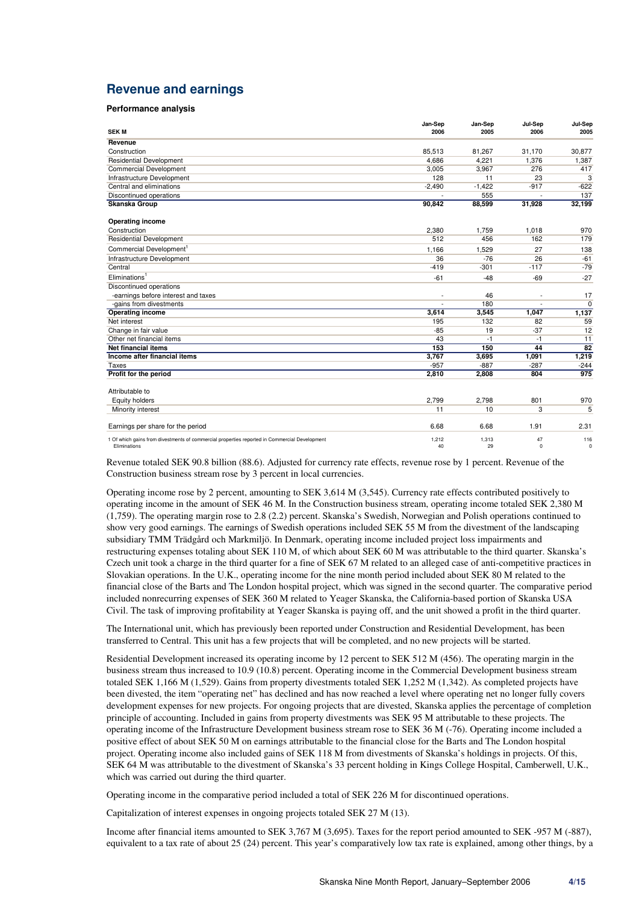# **Revenue and earnings**

#### **Performance analysis**

| <b>SEKM</b>                                                                                                   | Jan-Sep<br>2006 | Jan-Sep<br>2005 | Jul-Sep<br>2006 | Jul-Sep<br>2005    |
|---------------------------------------------------------------------------------------------------------------|-----------------|-----------------|-----------------|--------------------|
| Revenue                                                                                                       |                 |                 |                 |                    |
| Construction                                                                                                  | 85.513          | 81.267          | 31,170          | 30.877             |
| <b>Residential Development</b>                                                                                | 4.686           | 4.221           | 1,376           | 1,387              |
| Commercial Development                                                                                        | 3,005           | 3,967           | 276             | 417                |
| Infrastructure Development                                                                                    | 128             | 11              | 23              | 3                  |
| Central and eliminations                                                                                      | $-2,490$        | $-1,422$        | $-917$          | $-622$             |
| Discontinued operations                                                                                       |                 | 555             |                 | 137                |
| <b>Skanska Group</b>                                                                                          | 90,842          | 88,599          | 31,928          | 32,199             |
| <b>Operating income</b>                                                                                       |                 |                 |                 |                    |
| Construction                                                                                                  | 2,380           | 1,759           | 1,018           | 970                |
| <b>Residential Development</b>                                                                                | 512             | 456             | 162             | 179                |
| Commercial Development <sup>1</sup>                                                                           | 1,166           | 1,529           | 27              | 138                |
| Infrastructure Development                                                                                    | 36              | $-76$           | 26              | $-61$              |
| Central                                                                                                       | $-419$          | $-301$          | $-117$          | $-79$              |
| Eliminations <sup>1</sup>                                                                                     | $-61$           | $-48$           | $-69$           | $-27$              |
| Discontinued operations                                                                                       |                 |                 |                 |                    |
| -earnings before interest and taxes                                                                           |                 | 46              |                 | 17                 |
| -gains from divestments                                                                                       |                 | 180             |                 | $\mathbf 0$        |
| <b>Operating income</b>                                                                                       | 3,614           | 3,545           | 1,047           | 1,137              |
| Net interest                                                                                                  | 195             | 132             | 82              | 59                 |
| Change in fair value                                                                                          | $-85$           | 19              | $-37$           | 12                 |
| Other net financial items                                                                                     | 43              | $-1$            | -1              | 11                 |
| <b>Net financial items</b>                                                                                    | 153             | 150             | 44              | 82                 |
| Income after financial items                                                                                  | 3.767           | 3,695           | 1,091           | 1,219              |
| Taxes                                                                                                         | $-957$          | $-887$          | $-287$          | $-244$             |
| Profit for the period                                                                                         | 2,810           | 2,808           | 804             | 975                |
| Attributable to                                                                                               |                 |                 |                 |                    |
| <b>Equity holders</b>                                                                                         | 2,799           | 2.798           | 801             | 970                |
| Minority interest                                                                                             | 11              | 10              | 3               | 5                  |
| Earnings per share for the period                                                                             | 6.68            | 6.68            | 1.91            | 2.31               |
| 1 Of which gains from divestments of commercial properties reported in Commercial Development<br>Eliminations | 1,212<br>40     | 1,313<br>29     | 47<br>$\Omega$  | 116<br>$\mathbf 0$ |

Revenue totaled SEK 90.8 billion (88.6). Adjusted for currency rate effects, revenue rose by 1 percent. Revenue of the Construction business stream rose by 3 percent in local currencies.

Operating income rose by 2 percent, amounting to SEK 3,614 M (3,545). Currency rate effects contributed positively to operating income in the amount of SEK 46 M. In the Construction business stream, operating income totaled SEK 2,380 M (1,759). The operating margin rose to 2.8 (2.2) percent. Skanska's Swedish, Norwegian and Polish operations continued to show very good earnings. The earnings of Swedish operations included SEK 55 M from the divestment of the landscaping subsidiary TMM Trädgård och Markmiljö. In Denmark, operating income included project loss impairments and restructuring expenses totaling about SEK 110 M, of which about SEK 60 M was attributable to the third quarter. Skanska's Czech unit took a charge in the third quarter for a fine of SEK 67 M related to an alleged case of anti-competitive practices in Slovakian operations. In the U.K., operating income for the nine month period included about SEK 80 M related to the financial close of the Barts and The London hospital project, which was signed in the second quarter. The comparative period included nonrecurring expenses of SEK 360 M related to Yeager Skanska, the California-based portion of Skanska USA Civil. The task of improving profitability at Yeager Skanska is paying off, and the unit showed a profit in the third quarter.

The International unit, which has previously been reported under Construction and Residential Development, has been transferred to Central. This unit has a few projects that will be completed, and no new projects will be started.

Residential Development increased its operating income by 12 percent to SEK 512 M (456). The operating margin in the business stream thus increased to 10.9 (10.8) percent. Operating income in the Commercial Development business stream totaled SEK 1,166 M (1,529). Gains from property divestments totaled SEK 1,252 M (1,342). As completed projects have been divested, the item "operating net" has declined and has now reached a level where operating net no longer fully covers development expenses for new projects. For ongoing projects that are divested, Skanska applies the percentage of completion principle of accounting. Included in gains from property divestments was SEK 95 M attributable to these projects. The operating income of the Infrastructure Development business stream rose to SEK 36 M (-76). Operating income included a positive effect of about SEK 50 M on earnings attributable to the financial close for the Barts and The London hospital project. Operating income also included gains of SEK 118 M from divestments of Skanska's holdings in projects. Of this, SEK 64 M was attributable to the divestment of Skanska's 33 percent holding in Kings College Hospital, Camberwell, U.K., which was carried out during the third quarter.

Operating income in the comparative period included a total of SEK 226 M for discontinued operations.

Capitalization of interest expenses in ongoing projects totaled SEK 27 M (13).

Income after financial items amounted to SEK 3,767 M (3,695). Taxes for the report period amounted to SEK -957 M (-887), equivalent to a tax rate of about 25 (24) percent. This year's comparatively low tax rate is explained, among other things, by a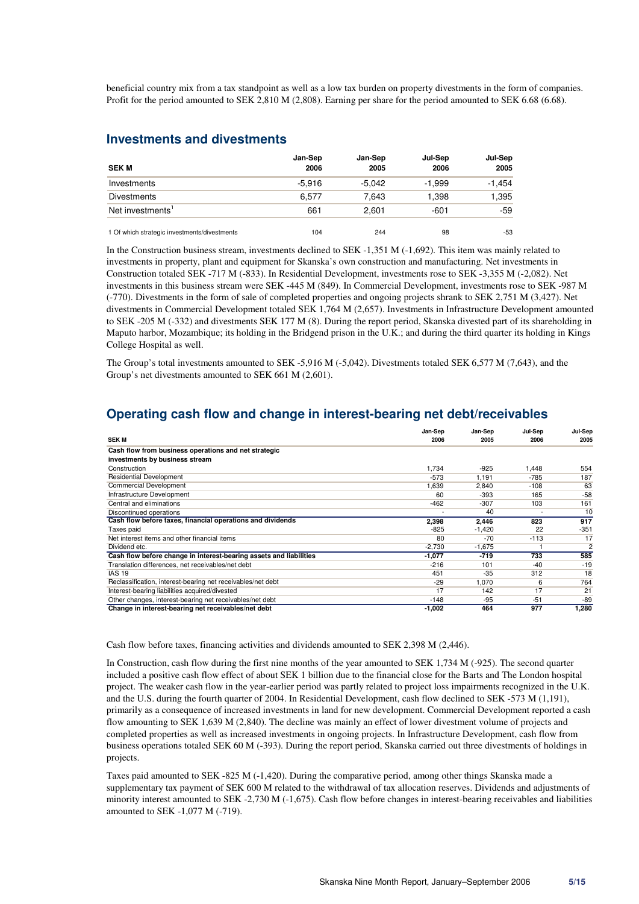beneficial country mix from a tax standpoint as well as a low tax burden on property divestments in the form of companies. Profit for the period amounted to SEK 2,810 M (2,808). Earning per share for the period amounted to SEK 6.68 (6.68).

# **Investments and divestments**

| <b>SEK M</b>                                 | Jan-Sep<br>2006 | Jan-Sep<br>2005 | Jul-Sep<br>2006 | Jul-Sep<br>2005 |
|----------------------------------------------|-----------------|-----------------|-----------------|-----------------|
| Investments                                  | $-5.916$        | $-5.042$        | $-1.999$        | $-1.454$        |
| <b>Divestments</b>                           | 6,577           | 7.643           | 1,398           | 1,395           |
| Net investments <sup>1</sup>                 | 661             | 2.601           | -601            | $-59$           |
| 1 Of which strategic investments/divestments | 104             | 244             | 98              | $-53$           |

In the Construction business stream, investments declined to SEK -1,351 M (-1,692). This item was mainly related to investments in property, plant and equipment for Skanska's own construction and manufacturing. Net investments in Construction totaled SEK -717 M (-833). In Residential Development, investments rose to SEK -3,355 M (-2,082). Net investments in this business stream were SEK -445 M (849). In Commercial Development, investments rose to SEK -987 M (-770). Divestments in the form of sale of completed properties and ongoing projects shrank to SEK 2,751 M (3,427). Net divestments in Commercial Development totaled SEK 1,764 M (2,657). Investments in Infrastructure Development amounted to SEK -205 M (-332) and divestments SEK 177 M (8). During the report period, Skanska divested part of its shareholding in Maputo harbor, Mozambique; its holding in the Bridgend prison in the U.K.; and during the third quarter its holding in Kings College Hospital as well.

The Group's total investments amounted to SEK -5,916 M (-5,042). Divestments totaled SEK 6,577 M (7,643), and the Group's net divestments amounted to SEK 661 M (2,601).

# **Operating cash flow and change in interest-bearing net debt/receivables**

| <b>SEKM</b>                                                        | Jan-Sep<br>2006 | Jan-Sep<br>2005 | Jul-Sep<br>2006 | Jul-Sep<br>2005 |
|--------------------------------------------------------------------|-----------------|-----------------|-----------------|-----------------|
| Cash flow from business operations and net strategic               |                 |                 |                 |                 |
| investments by business stream                                     |                 |                 |                 |                 |
| Construction                                                       | 1,734           | $-925$          | 1,448           | 554             |
| <b>Residential Development</b>                                     | -573            | 1.191           | -785            | 187             |
| <b>Commercial Development</b>                                      | 1,639           | 2.840           | $-108$          | 63              |
| Infrastructure Development                                         | 60              | $-393$          | 165             | $-58$           |
| Central and eliminations                                           | $-462$          | $-307$          | 103             | 161             |
| Discontinued operations                                            |                 | 40              |                 | 10              |
| Cash flow before taxes, financial operations and dividends         | 2,398           | 2,446           | 823             | 917             |
| Taxes paid                                                         | $-825$          | $-1,420$        | 22              | $-351$          |
| Net interest items and other financial items                       | 80              | $-70$           | $-113$          | 17              |
| Dividend etc.                                                      | $-2,730$        | $-1,675$        |                 | $\overline{c}$  |
| Cash flow before change in interest-bearing assets and liabilities | $-1,077$        | $-719$          | 733             | 585             |
| Translation differences, net receivables/net debt                  | $-216$          | 101             | $-40$           | $-19$           |
| <b>IAS 19</b>                                                      | 451             | $-35$           | 312             | 18              |
| Reclassification, interest-bearing net receivables/net debt        | $-29$           | 1.070           | 6               | 764             |
| Interest-bearing liabilities acquired/divested                     | 17              | 142             | 17              | 21              |
| Other changes, interest-bearing net receivables/net debt           | $-148$          | -95             | $-51$           | $-89$           |
| Change in interest-bearing net receivables/net debt                | -1,002          | 464             | 977             | 1.280           |

Cash flow before taxes, financing activities and dividends amounted to SEK 2,398 M (2,446).

In Construction, cash flow during the first nine months of the year amounted to SEK 1,734 M (-925). The second quarter included a positive cash flow effect of about SEK 1 billion due to the financial close for the Barts and The London hospital project. The weaker cash flow in the year-earlier period was partly related to project loss impairments recognized in the U.K. and the U.S. during the fourth quarter of 2004. In Residential Development, cash flow declined to SEK -573 M (1,191), primarily as a consequence of increased investments in land for new development. Commercial Development reported a cash flow amounting to SEK 1,639 M (2,840). The decline was mainly an effect of lower divestment volume of projects and completed properties as well as increased investments in ongoing projects. In Infrastructure Development, cash flow from business operations totaled SEK 60 M (-393). During the report period, Skanska carried out three divestments of holdings in projects.

Taxes paid amounted to SEK -825 M (-1,420). During the comparative period, among other things Skanska made a supplementary tax payment of SEK 600 M related to the withdrawal of tax allocation reserves. Dividends and adjustments of minority interest amounted to SEK -2,730 M (-1,675). Cash flow before changes in interest-bearing receivables and liabilities amounted to SEK -1,077 M (-719).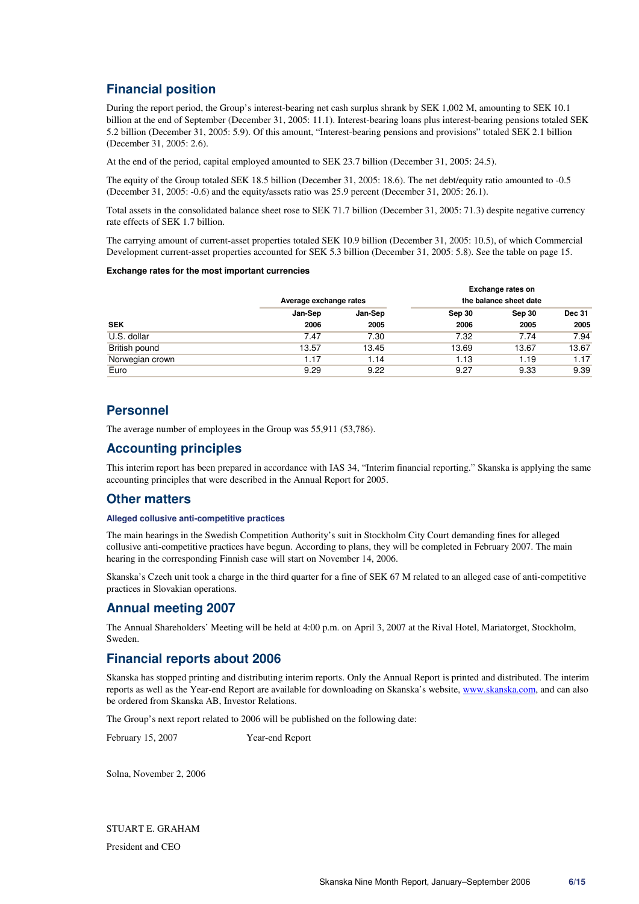# **Financial position**

During the report period, the Group's interest-bearing net cash surplus shrank by SEK 1,002 M, amounting to SEK 10.1 billion at the end of September (December 31, 2005: 11.1). Interest-bearing loans plus interest-bearing pensions totaled SEK 5.2 billion (December 31, 2005: 5.9). Of this amount, "Interest-bearing pensions and provisions" totaled SEK 2.1 billion (December 31, 2005: 2.6).

At the end of the period, capital employed amounted to SEK 23.7 billion (December 31, 2005: 24.5).

The equity of the Group totaled SEK 18.5 billion (December 31, 2005: 18.6). The net debt/equity ratio amounted to -0.5 (December 31, 2005: -0.6) and the equity/assets ratio was 25.9 percent (December 31, 2005: 26.1).

Total assets in the consolidated balance sheet rose to SEK 71.7 billion (December 31, 2005: 71.3) despite negative currency rate effects of SEK 1.7 billion.

The carrying amount of current-asset properties totaled SEK 10.9 billion (December 31, 2005: 10.5), of which Commercial Development current-asset properties accounted for SEK 5.3 billion (December 31, 2005: 5.8). See the table on page 15.

#### **Exchange rates for the most important currencies**

|                 | Exchange rates on      |         |        |                        |               |  |
|-----------------|------------------------|---------|--------|------------------------|---------------|--|
|                 | Average exchange rates |         |        | the balance sheet date |               |  |
|                 | Jan-Sep                | Jan-Sep | Sep 30 | Sep 30                 | <b>Dec 31</b> |  |
| <b>SEK</b>      | 2006                   | 2005    | 2006   | 2005                   | 2005          |  |
| U.S. dollar     | 7.47                   | 7.30    | 7.32   | 7.74                   | 7.94          |  |
| British pound   | 13.57                  | 13.45   | 13.69  | 13.67                  | 13.67         |  |
| Norwegian crown | 1.17                   | 1.14    | 1.13   | 1.19                   | 1.17          |  |
| Euro            | 9.29                   | 9.22    | 9.27   | 9.33                   | 9.39          |  |

## **Personnel**

The average number of employees in the Group was 55,911 (53,786).

## **Accounting principles**

This interim report has been prepared in accordance with IAS 34, "Interim financial reporting." Skanska is applying the same accounting principles that were described in the Annual Report for 2005.

### **Other matters**

### **Alleged collusive anti-competitive practices**

The main hearings in the Swedish Competition Authority's suit in Stockholm City Court demanding fines for alleged collusive anti-competitive practices have begun. According to plans, they will be completed in February 2007. The main hearing in the corresponding Finnish case will start on November 14, 2006.

Skanska's Czech unit took a charge in the third quarter for a fine of SEK 67 M related to an alleged case of anti-competitive practices in Slovakian operations.

# **Annual meeting 2007**

The Annual Shareholders' Meeting will be held at 4:00 p.m. on April 3, 2007 at the Rival Hotel, Mariatorget, Stockholm, Sweden.

# **Financial reports about 2006**

Skanska has stopped printing and distributing interim reports. Only the Annual Report is printed and distributed. The interim reports as well as the Year-end Report are available for downloading on Skanska's website, www.skanska.com, and can also be ordered from Skanska AB, Investor Relations.

The Group's next report related to 2006 will be published on the following date:

February 15, 2007 Year-end Report

Solna, November 2, 2006

STUART E. GRAHAM President and CEO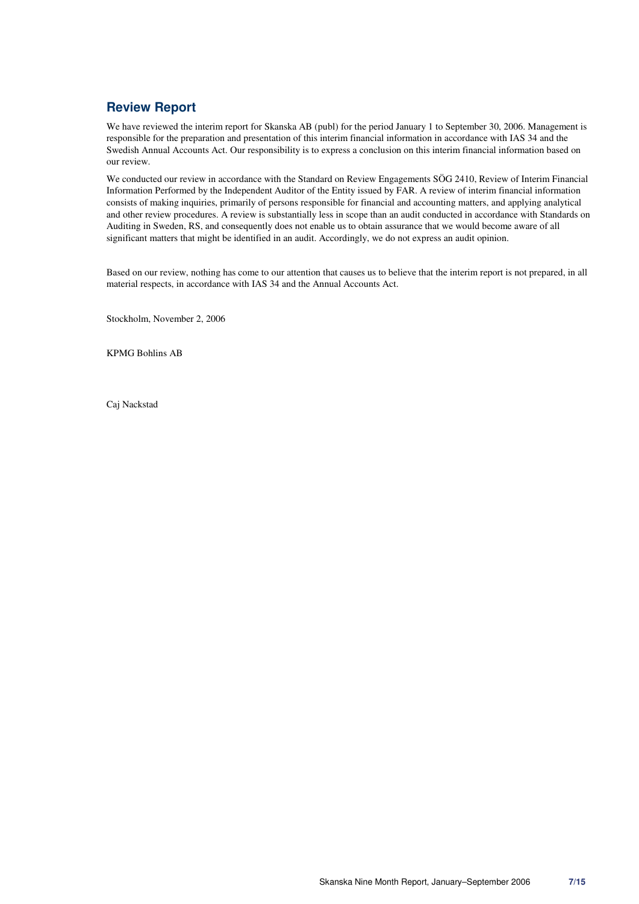# **Review Report**

We have reviewed the interim report for Skanska AB (publ) for the period January 1 to September 30, 2006. Management is responsible for the preparation and presentation of this interim financial information in accordance with IAS 34 and the Swedish Annual Accounts Act. Our responsibility is to express a conclusion on this interim financial information based on our review.

We conducted our review in accordance with the Standard on Review Engagements SÖG 2410, Review of Interim Financial Information Performed by the Independent Auditor of the Entity issued by FAR. A review of interim financial information consists of making inquiries, primarily of persons responsible for financial and accounting matters, and applying analytical and other review procedures. A review is substantially less in scope than an audit conducted in accordance with Standards on Auditing in Sweden, RS, and consequently does not enable us to obtain assurance that we would become aware of all significant matters that might be identified in an audit. Accordingly, we do not express an audit opinion.

Based on our review, nothing has come to our attention that causes us to believe that the interim report is not prepared, in all material respects, in accordance with IAS 34 and the Annual Accounts Act.

Stockholm, November 2, 2006

KPMG Bohlins AB

Caj Nackstad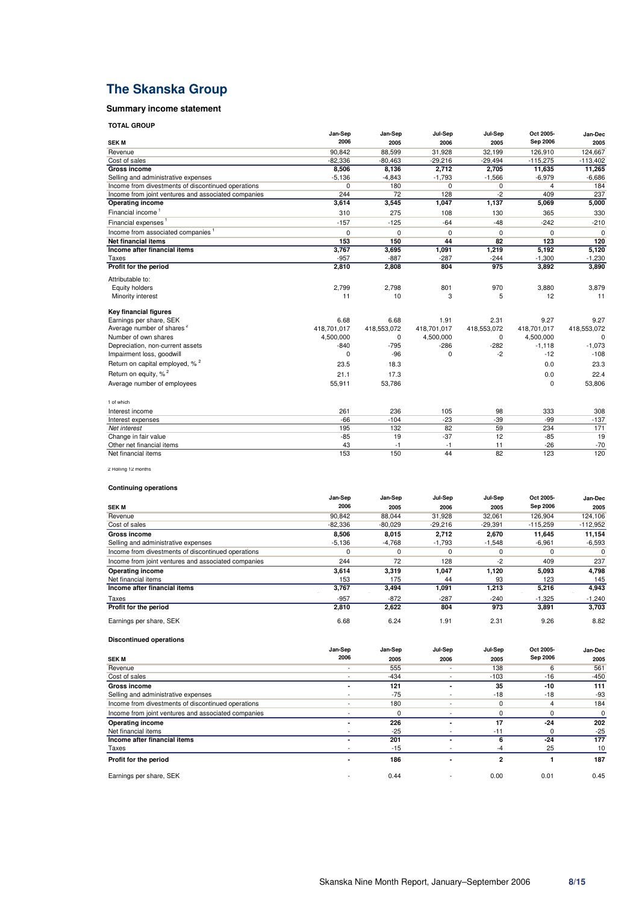# **The Skanska Group**

### **Summary income statement**

**TOTAL GROUP**

| יטייה שייטי                                         |                 |             |             |             |             |             |
|-----------------------------------------------------|-----------------|-------------|-------------|-------------|-------------|-------------|
|                                                     | Jan-Sep<br>2006 | Jan-Sep     | Jul-Sep     | Jul-Sep     | Oct 2005-   | Jan-Dec     |
| <b>SEK M</b>                                        |                 | 2005        | 2006        | 2005        | Sep 2006    | 2005        |
| Revenue                                             | 90,842          | 88,599      | 31,928      | 32,199      | 126,910     | 124,667     |
| Cost of sales                                       | $-82,336$       | $-80,463$   | $-29,216$   | $-29,494$   | $-115,275$  | $-113,402$  |
| <b>Gross income</b>                                 | 8,506           | 8,136       | 2,712       | 2,705       | 11,635      | 11,265      |
| Selling and administrative expenses                 | $-5,136$        | $-4,843$    | $-1,793$    | $-1,566$    | $-6,979$    | $-6,686$    |
| Income from divestments of discontinued operations  | 0               | 180         | $\mathbf 0$ | 0           | 4           | 184         |
| Income from joint ventures and associated companies | 244             | 72          | 128         | $-2$        | 409         | 237         |
| <b>Operating income</b>                             | 3,614           | 3,545       | 1,047       | 1,137       | 5,069       | 5,000       |
| Financial income <sup>1</sup>                       | 310             | 275         | 108         | 130         | 365         | 330         |
| Financial expenses <sup>1</sup>                     | $-157$          | $-125$      | $-64$       | $-48$       | $-242$      | $-210$      |
| Income from associated companies <sup>1</sup>       | $\Omega$        | $\Omega$    | $\Omega$    | $\Omega$    | $\Omega$    | $\Omega$    |
| <b>Net financial items</b>                          | 153             | 150         | 44          | 82          | 123         | 120         |
| Income after financial items                        | 3,767           | 3,695       | 1,091       | 1,219       | 5,192       | 5,120       |
| Taxes                                               | $-957$          | $-887$      | $-287$      | $-244$      | $-1,300$    | $-1,230$    |
| Profit for the period                               | 2,810           | 2,808       | 804         | 975         | 3,892       | 3,890       |
| Attributable to:                                    |                 |             |             |             |             |             |
| Equity holders                                      | 2,799           | 2,798       | 801         | 970         | 3.880       | 3,879       |
| Minority interest                                   | 11              | 10          | 3           | 5           | 12          | 11          |
| <b>Key financial figures</b>                        |                 |             |             |             |             |             |
| Earnings per share, SEK                             | 6.68            | 6.68        | 1.91        | 2.31        | 9.27        | 9.27        |
| Average number of shares <sup>2</sup>               | 418,701,017     | 418,553,072 | 418,701,017 | 418,553,072 | 418,701,017 | 418,553,072 |
| Number of own shares                                | 4,500,000       | 0           | 4,500,000   | 0           | 4,500,000   | $\Omega$    |
| Depreciation, non-current assets                    | $-840$          | $-795$      | $-286$      | $-282$      | $-1,118$    | $-1,073$    |
| Impairment loss, goodwill                           | $\Omega$        | $-96$       | $\Omega$    | $-2$        | $-12$       | $-108$      |
| Return on capital employed, % <sup>2</sup>          | 23.5            | 18.3        |             |             | 0.0         | 23.3        |
| Return on equity, % <sup>2</sup>                    | 21.1            | 17.3        |             |             | 0.0         | 22.4        |
| Average number of employees                         | 55,911          | 53,786      |             |             | $\Omega$    | 53,806      |
| 1 of which                                          |                 |             |             |             |             |             |
| Interest income                                     | 261             | 236         | 105         | 98          | 333         | 308         |
| Interest expenses                                   | $-66$           | $-104$      | $-23$       | $-39$       | $-99$       | $-137$      |
| Net interest                                        | 195             | 132         | 82          | 59          | 234         | 171         |
| Change in fair value                                | $-85$           | 19          | $-37$       | 12          | $-85$       | 19          |
| Other net financial items                           | 43              | $-1$        | $-1$        | 11          | $-26$       | $-70$       |
| Net financial items                                 | 153             | 150         | 44          | 82          | 123         | 120         |
|                                                     |                 |             |             |             |             |             |

2 Rolling 12 months

#### **Continuing operations**

**Discontinued operations**

|                                                     | Jan-Sep  | Jan-Sep   | Jul-Sep   | Jul-Sep   | Oct 2005-  | Jan-Dec    |
|-----------------------------------------------------|----------|-----------|-----------|-----------|------------|------------|
| <b>SEKM</b>                                         | 2006     | 2005      | 2006      | 2005      | Sep 2006   | 2005       |
| Revenue                                             | 90.842   | 88.044    | 31.928    | 32.061    | 126.904    | 124.106    |
| Cost of sales                                       | -82,336  | $-80,029$ | $-29,216$ | $-29,391$ | $-115.259$ | $-112,952$ |
| <b>Gross income</b>                                 | 8,506    | 8,015     | 2.712     | 2.670     | 11,645     | 11,154     |
| Selling and administrative expenses                 | $-5,136$ | $-4.768$  | $-1,793$  | $-1,548$  | $-6,961$   | $-6,593$   |
| Income from divestments of discontinued operations  | 0        | $\Omega$  | $\Omega$  | 0         | 0          | 0          |
| Income from joint ventures and associated companies | 244      | 72        | 128       | $-2$      | 409        | 237        |
| Operating income                                    | 3,614    | 3,319     | 1,047     | 1,120     | 5,093      | 4,798      |
| Net financial items                                 | 153      | 175       | 44        | 93        | 123        | 145        |
| Income after financial items                        | 3,767    | 3,494     | 1,091     | 1,213     | 5,216      | 4,943      |
| Taxes                                               | $-957$   | $-872$    | $-287$    | $-240$    | $-1.325$   | $-1,240$   |
| Profit for the period                               | 2,810    | 2,622     | 804       | 973       | 3,891      | 3,703      |
| Earnings per share, SEK                             | 6.68     | 6.24      | 1.91      | 2.31      | 9.26       | 8.82       |

|                                                     | Jan-Sep                  | Jan-Sep | Jul-Sep                  | Jul-Sep        | Oct 2005- | Jan-Dec |
|-----------------------------------------------------|--------------------------|---------|--------------------------|----------------|-----------|---------|
| <b>SEK M</b>                                        | 2006                     | 2005    | 2006                     | 2005           | Sep 2006  | 2005    |
| Revenue                                             | $\overline{\phantom{a}}$ | 555     |                          | 138            | 6         | 561     |
| Cost of sales                                       | $\overline{\phantom{a}}$ | $-434$  | $\overline{\phantom{a}}$ | $-103$         | $-16$     | $-450$  |
| Gross income                                        |                          | 121     |                          | 35             | $-10$     | 111     |
| Selling and administrative expenses                 | $\overline{\phantom{a}}$ | $-75$   | $\overline{\phantom{a}}$ | $-18$          | $-18$     | -93     |
| Income from divestments of discontinued operations  |                          | 180     |                          |                | 4         | 184     |
| Income from joint ventures and associated companies |                          |         |                          |                | $\Omega$  | 0       |
| <b>Operating income</b>                             | -                        | 226     |                          | 17             | $-24$     | 202     |
| Net financial items                                 |                          | $-25$   |                          | $-11$          | $\Omega$  | $-25$   |
| Income after financial items                        | -                        | 201     |                          | 6              | $-24$     | 177     |
| Taxes                                               |                          | $-15$   |                          | -4             | 25        | 10      |
| Profit for the period                               | ۰                        | 186     |                          | $\overline{2}$ |           | 187     |
| Earnings per share, SEK                             | $\overline{\phantom{a}}$ | 0.44    |                          | 0.00           | 0.01      | 0.45    |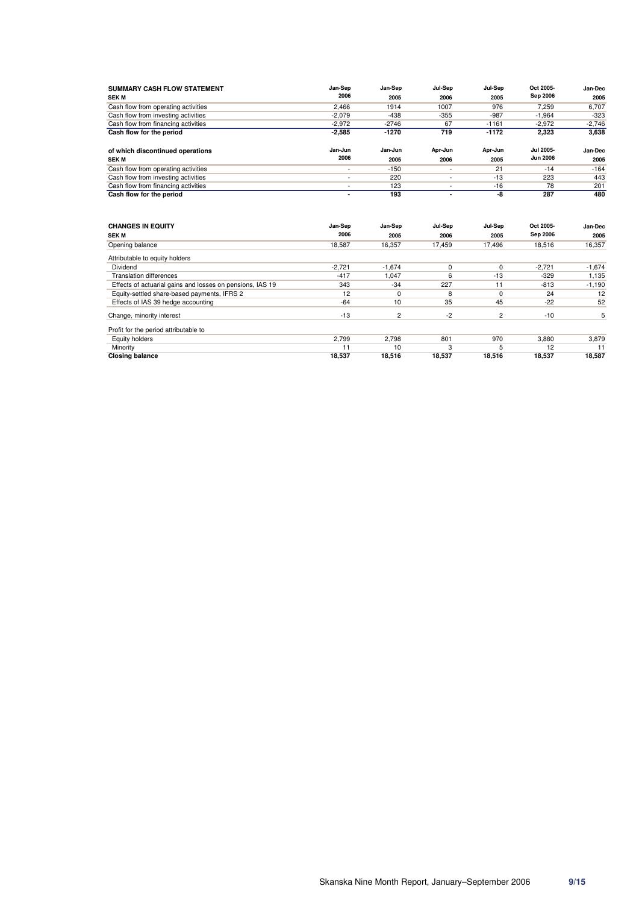| <b>SUMMARY CASH FLOW STATEMENT</b><br><b>SEK M</b> | Jan-Sep<br>2006          | Jan-Sep<br>2005 | Jul-Sep<br>2006          | Jul-Sep<br>2005 | Oct 2005-<br>Sep 2006               | Jan-Dec<br>2005 |
|----------------------------------------------------|--------------------------|-----------------|--------------------------|-----------------|-------------------------------------|-----------------|
| Cash flow from operating activities                | 2,466                    | 1914            | 1007                     | 976             | 7,259                               | 6,707           |
| Cash flow from investing activities                | $-2,079$                 | $-438$          | $-355$                   | $-987$          | $-1,964$                            | $-323$          |
| Cash flow from financing activities                | $-2,972$                 | $-2746$         | 67                       | $-1161$         | $-2,972$                            | $-2,746$        |
| Cash flow for the period                           | $-2,585$                 | -1270           | 719                      | $-1172$         | 2,323                               | 3,638           |
| of which discontinued operations                   | Jan-Jun<br>2006          | Jan-Jun         | Apr-Jun                  | Apr-Jun         | <b>Jul 2005-</b><br><b>Jun 2006</b> | Jan-Dec         |
| <b>SEK M</b>                                       |                          | 2005            | 2006                     | 2005            |                                     | 2005            |
| Cash flow from operating activities                | $\sim$                   | $-150$          | $\overline{\phantom{a}}$ | 21              | $-14$                               | $-164$          |
| Cash flow from investing activities                | $\sim$                   | 220             |                          | $-13$           | 223                                 | 443             |
| Cash flow from financing activities                | $\overline{\phantom{a}}$ | 123             | $\overline{\phantom{a}}$ | $-16$           | 78                                  | 201             |
| Cash flow for the period                           | ۰                        | 193             | $\overline{\phantom{a}}$ | -8              | 287                                 | 480             |
| <b>CHANGES IN EQUITY</b>                           | Jan-Sep                  | Jan-Sep         | Jul-Sep                  | Jul-Sep         | Oct 2005-                           | Jan-Dec         |

| <b>SEK M</b>                                              | 2006     | 2005           | 2006     | 2005   | Sep 2006 | 2005     |
|-----------------------------------------------------------|----------|----------------|----------|--------|----------|----------|
| Opening balance                                           | 18,587   | 16,357         | 17.459   | 17.496 | 18,516   | 16,357   |
| Attributable to equity holders                            |          |                |          |        |          |          |
| Dividend                                                  | $-2,721$ | $-1,674$       | $\Omega$ |        | $-2,721$ | $-1,674$ |
| <b>Translation differences</b>                            | $-417$   | 1,047          | 6        | $-13$  | $-329$   | 1,135    |
| Effects of actuarial gains and losses on pensions, IAS 19 | 343      | $-34$          | 227      | 11     | $-813$   | $-1,190$ |
| Equity-settled share-based payments, IFRS 2               | 12       | $\Omega$       | 8        |        | 24       | 12       |
| Effects of IAS 39 hedge accounting                        | $-64$    | 10             | 35       | 45     | $-22$    | 52       |
| Change, minority interest                                 | $-13$    | $\overline{2}$ | $-2$     | 2      | $-10$    | 5        |
| Profit for the period attributable to                     |          |                |          |        |          |          |
| Equity holders                                            | 2,799    | 2,798          | 801      | 970    | 3,880    | 3,879    |
| Minority                                                  | 11       | 10             | 3        | 5      | 12       | 11       |
| <b>Closing balance</b>                                    | 18,537   | 18,516         | 18,537   | 18,516 | 18,537   | 18.587   |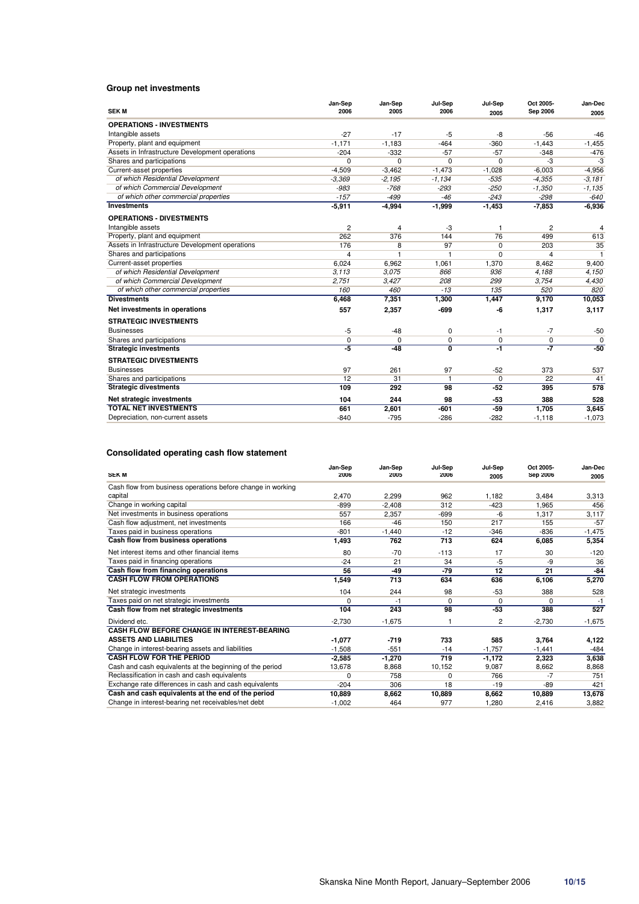### **Group net investments**

|                                                 | Jan-Sep        | Jan-Sep  | Jul-Sep                   | Jul-Sep     | Oct 2005-   | Jan-Dec        |
|-------------------------------------------------|----------------|----------|---------------------------|-------------|-------------|----------------|
| <b>SEKM</b>                                     | 2006           | 2005     | 2006                      | 2005        | Sep 2006    | 2005           |
| <b>OPERATIONS - INVESTMENTS</b>                 |                |          |                           |             |             |                |
| Intangible assets                               | $-27$          | $-17$    | $-5$                      | -8          | $-56$       | $-46$          |
| Property, plant and equipment                   | $-1,171$       | $-1,183$ | $-464$                    | $-360$      | $-1,443$    | $-1,455$       |
| Assets in Infrastructure Development operations | $-204$         | $-332$   | $-57$                     | $-57$       | $-348$      | $-476$         |
| Shares and participations                       | 0              | $\Omega$ | $\Omega$                  | 0           | -3          | $-3$           |
| Current-asset properties                        | $-4.509$       | $-3,462$ | $-1,473$                  | $-1,028$    | $-6,003$    | $-4,956$       |
| of which Residential Development                | $-3,369$       | $-2.195$ | $-1,134$                  | $-535$      | $-4,355$    | $-3,181$       |
| of which Commercial Development                 | $-983$         | $-768$   | $-293$                    | $-250$      | $-1,350$    | $-1,135$       |
| of which other commercial properties            | $-157$         | $-499$   | $-46$                     | $-243$      | $-298$      | $-640$         |
| <b>Investments</b>                              | $-5,911$       | $-4,994$ | $-1,999$                  | $-1,453$    | $-7,853$    | $-6,936$       |
| <b>OPERATIONS - DIVESTMENTS</b>                 |                |          |                           |             |             |                |
| Intangible assets                               | $\overline{c}$ | 4        | -3                        | 1           | 2           | $\overline{4}$ |
| Property, plant and equipment                   | 262            | 376      | 144                       | 76          | 499         | 613            |
| Assets in Infrastructure Development operations | 176            | 8        | 97                        | 0           | 203         | 35             |
| Shares and participations                       | 4              | 1        | $\mathbf{1}$              | 0           | 4           | $\mathbf{1}$   |
| Current-asset properties                        | 6.024          | 6,962    | 1,061                     | 1,370       | 8,462       | 9.400          |
| of which Residential Development                | 3.113          | 3.075    | 866                       | 936         | 4,188       | 4,150          |
| of which Commercial Development                 | 2,751          | 3,427    | 208                       | 299         | 3,754       | 4,430          |
| of which other commercial properties            | 160            | 460      | $-13$                     | 135         | 520         | 820            |
| <b>Divestments</b>                              | 6,468          | 7,351    | 1,300                     | 1,447       | 9,170       | 10,053         |
| Net investments in operations                   | 557            | 2,357    | $-699$                    | -6          | 1,317       | 3,117          |
| <b>STRATEGIC INVESTMENTS</b>                    |                |          |                           |             |             |                |
| <b>Businesses</b>                               | $-5$           | $-48$    | 0                         | $-1$        | $-7$        | $-50$          |
| Shares and participations                       | $\pmb{0}$      | $\Omega$ | $\Omega$                  | $\mathbf 0$ | $\mathbf 0$ | $\Omega$       |
| <b>Strategic investments</b>                    | -5             | $-48$    | $\overline{\mathfrak{o}}$ | -1          | -7          | $-50$          |
| <b>STRATEGIC DIVESTMENTS</b>                    |                |          |                           |             |             |                |
| <b>Businesses</b>                               | 97             | 261      | 97                        | $-52$       | 373         | 537            |
| Shares and participations                       | 12             | 31       | $\mathbf{1}$              | $\mathbf 0$ | 22          | 41             |
| <b>Strategic divestments</b>                    | 109            | 292      | 98                        | $-52$       | 395         | 578            |
| Net strategic investments                       | 104            | 244      | 98                        | $-53$       | 388         | 528            |
| <b>TOTAL NET INVESTMENTS</b>                    | 661            | 2,601    | $-601$                    | $-59$       | 1,705       | 3,645          |
| Depreciation, non-current assets                | $-840$         | $-795$   | $-286$                    | $-282$      | $-1,118$    | $-1,073$       |

### **Consolidated operating cash flow statement**

| <b>SEK M</b>                                                | Jan-Sep<br>2006 | Jan-Sep<br>2005 | Jul-Sep<br>2006 | Jul-Sep<br>2005 | Oct 2005-<br>Sep 2006 | Jan-Dec<br>2005 |
|-------------------------------------------------------------|-----------------|-----------------|-----------------|-----------------|-----------------------|-----------------|
| Cash flow from business operations before change in working |                 |                 |                 |                 |                       |                 |
| capital                                                     | 2,470           | 2,299           | 962             | 1,182           | 3,484                 | 3,313           |
| Change in working capital                                   | $-899$          | $-2.408$        | 312             | $-423$          | 1,965                 | 456             |
| Net investments in business operations                      | 557             | 2,357           | $-699$          | -6              | 1.317                 | 3,117           |
| Cash flow adjustment, net investments                       | 166             | $-46$           | 150             | 217             | 155                   | $-57$           |
| Taxes paid in business operations                           | $-801$          | $-1,440$        | $-12$           | $-346$          | $-836$                | $-1,475$        |
| Cash flow from business operations                          | 1,493           | 762             | 713             | 624             | 6,085                 | 5,354           |
| Net interest items and other financial items                | 80              | $-70$           | $-113$          | 17              | 30                    | $-120$          |
| Taxes paid in financing operations                          | $-24$           | 21              | 34              | $-5$            | -9                    | 36              |
| Cash flow from financing operations                         | 56              | $-49$           | $-79$           | 12              | 21                    | $-84$           |
| <b>CASH FLOW FROM OPERATIONS</b>                            | 1,549           | 713             | 634             | 636             | 6,106                 | 5,270           |
| Net strategic investments                                   | 104             | 244             | 98              | $-53$           | 388                   | 528             |
| Taxes paid on net strategic investments                     | 0               | $-1$            | $\Omega$        | 0               | $\Omega$              | $-1$            |
| Cash flow from net strategic investments                    | 104             | 243             | 98              | $-53$           | 388                   | 527             |
| Dividend etc.                                               | $-2,730$        | $-1,675$        |                 | 2               | $-2,730$              | $-1,675$        |
| <b>CASH FLOW BEFORE CHANGE IN INTEREST-BEARING</b>          |                 |                 |                 |                 |                       |                 |
| <b>ASSETS AND LIABILITIES</b>                               | $-1,077$        | $-719$          | 733             | 585             | 3,764                 | 4,122           |
| Change in interest-bearing assets and liabilities           | $-1.508$        | $-551$          | $-14$           | $-1.757$        | $-1.441$              | $-484$          |
| <b>CASH FLOW FOR THE PERIOD</b>                             | $-2,585$        | $-1,270$        | 719             | $-1,172$        | 2,323                 | 3,638           |
| Cash and cash equivalents at the beginning of the period    | 13,678          | 8,868           | 10,152          | 9.087           | 8,662                 | 8,868           |
| Reclassification in cash and cash equivalents               | $\Omega$        | 758             | $\Omega$        | 766             | $-7$                  | 751             |
| Exchange rate differences in cash and cash equivalents      | $-204$          | 306             | 18              | $-19$           | -89                   | 421             |
| Cash and cash equivalents at the end of the period          | 10,889          | 8,662           | 10,889          | 8,662           | 10,889                | 13,678          |
| Change in interest-bearing net receivables/net debt         | $-1.002$        | 464             | 977             | 1,280           | 2,416                 | 3,882           |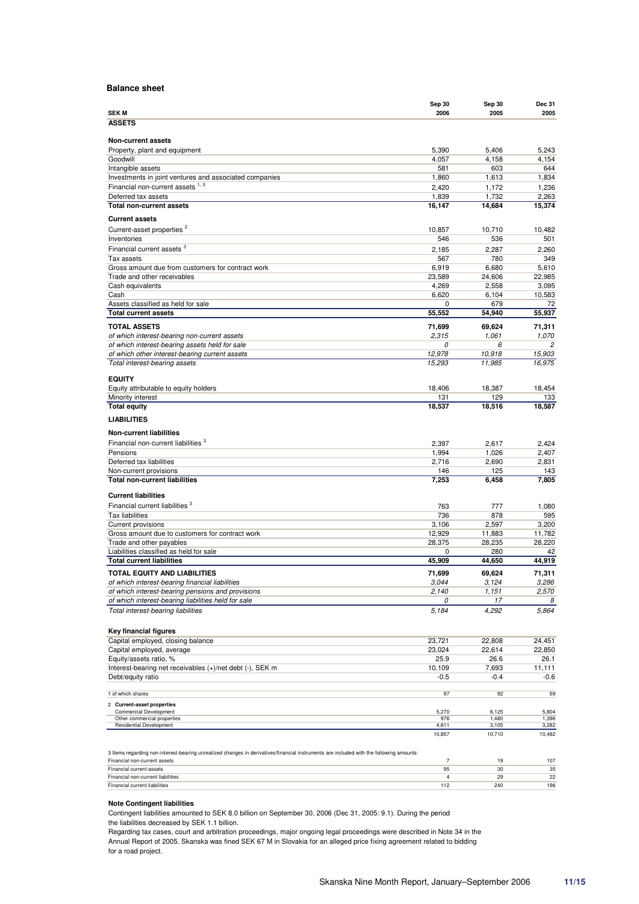### **Balance sheet**

|                                                                                                                                         | Sep 30                        | Sep 30           | Dec 31           |
|-----------------------------------------------------------------------------------------------------------------------------------------|-------------------------------|------------------|------------------|
| <b>SEKM</b>                                                                                                                             | 2006                          | 2005             | 2005             |
| <b>ASSETS</b>                                                                                                                           |                               |                  |                  |
| <b>Non-current assets</b>                                                                                                               |                               |                  |                  |
| Property, plant and equipment                                                                                                           | 5,390                         | 5,406            | 5,243            |
| Goodwill                                                                                                                                | 4,057                         | 4,158            | 4,154            |
| Intangible assets                                                                                                                       | 581                           | 603              | 644              |
| Investments in joint ventures and associated companies                                                                                  | 1,860                         | 1,613            | 1,834            |
| Financial non-current assets 1, 3                                                                                                       | 2,420                         | 1,172            | 1,236            |
| Deferred tax assets                                                                                                                     | 1,839                         | 1,732            | 2,263            |
| <b>Total non-current assets</b>                                                                                                         | 16,147                        | 14,684           | 15,374           |
| <b>Current assets</b>                                                                                                                   |                               |                  |                  |
| Current-asset properties <sup>2</sup>                                                                                                   | 10,857                        | 10,710           | 10,482           |
| Inventories                                                                                                                             | 546                           | 536              | 501              |
| Financial current assets <sup>3</sup>                                                                                                   | 2,185                         | 2.287            | 2,260            |
| Tax assets                                                                                                                              | 567                           | 780              | 349              |
| Gross amount due from customers for contract work<br>Trade and other receivables                                                        | 6,919<br>23,589               | 6,680<br>24,606  | 5,610<br>22,985  |
| Cash equivalents                                                                                                                        | 4,269                         | 2,558            | 3,095            |
| Cash                                                                                                                                    | 6,620                         | 6,104            | 10,583           |
| Assets classified as held for sale                                                                                                      | 0                             | 679              | 72               |
| <b>Total current assets</b>                                                                                                             | 55,552                        | 54,940           | 55,937           |
| <b>TOTAL ASSETS</b>                                                                                                                     | 71,699                        | 69,624           | 71,311           |
| of which interest-bearing non-current assets                                                                                            | 2,315                         | 1,061            | 1,070            |
| of which interest-bearing assets held for sale                                                                                          | 0                             | 6                | 2                |
| of which other interest-bearing current assets                                                                                          | 12,978                        | 10,918           | 15,903           |
| Total interest-bearing assets                                                                                                           | 15,293                        | 11,985           | 16,975           |
| <b>EQUITY</b>                                                                                                                           |                               |                  |                  |
| Equity attributable to equity holders                                                                                                   | 18,406                        | 18.387           | 18.454           |
| Minority interest                                                                                                                       | 131                           | 129              | 133              |
| <b>Total equity</b>                                                                                                                     | 18,537                        | 18.516           | 18,587           |
| <b>LIABILITIES</b>                                                                                                                      |                               |                  |                  |
|                                                                                                                                         |                               |                  |                  |
| <b>Non-current liabilities</b>                                                                                                          |                               |                  |                  |
| Financial non-current liabilities <sup>3</sup>                                                                                          | 2,397                         | 2,617            | 2,424            |
| Pensions                                                                                                                                | 1,994                         | 1,026            | 2,407            |
| Deferred tax liabilities                                                                                                                | 2,716<br>146                  | 2,690<br>125     | 2,831<br>143     |
| Non-current provisions<br><b>Total non-current liabilities</b>                                                                          | 7,253                         | 6,458            | 7,805            |
|                                                                                                                                         |                               |                  |                  |
| <b>Current liabilities</b>                                                                                                              |                               |                  |                  |
| Financial current liabilities <sup>3</sup>                                                                                              | 763                           | 777              | 1,080            |
| <b>Tax liabilities</b>                                                                                                                  | 736                           | 878              | 595              |
| Current provisions                                                                                                                      | 3,106                         | 2,597            | 3,200            |
| Gross amount due to customers for contract work<br>Trade and other payables                                                             | 12,929<br>28,375              | 11,883<br>28,235 | 11,782<br>28,220 |
| Liabilities classified as held for sale                                                                                                 | 0                             | 280              | 42               |
| <b>Total current liabilities</b>                                                                                                        | 45,909                        | 44,650           | 44,919           |
| TOTAL EQUITY AND LIABILITIES                                                                                                            | 71,699                        | 69,624           | 71,311           |
| of which interest-bearing financial liabilities                                                                                         | 3,044                         | 3,124            | 3,286            |
| of which interest-bearing pensions and provisions                                                                                       | 2,140                         | 1,151            | 2,570            |
| of which interest-bearing liabilities held for sale                                                                                     | 0                             | 17               | 8                |
| Total interest-bearing liabilities                                                                                                      | 5,184                         | 4,292            | 5,864            |
|                                                                                                                                         |                               |                  |                  |
| Key financial figures                                                                                                                   |                               |                  |                  |
| Capital employed, closing balance                                                                                                       | 23,721                        | 22,808           | 24,451           |
| Capital employed, average                                                                                                               | 23,024                        | 22,614           | 22,850           |
| Equity/assets ratio, %                                                                                                                  | 25.9                          | 26.6             | 26.1             |
| Interest-bearing net receivables (+)/net debt (-), SEK m                                                                                | 10,109                        | 7,693            | 11,111           |
| Debt/equity ratio                                                                                                                       | -0.5                          | $-0.4$           | -0.6             |
| 1 of which shares                                                                                                                       | 97                            | 92               | 59               |
| 2 Current-asset properties                                                                                                              |                               |                  |                  |
| <b>Commercial Development</b>                                                                                                           | 5,270                         | 6,125            | 5,804            |
| Other commercial properties<br>Residential Development                                                                                  | 976<br>4,611                  | 1,480<br>3,105   | 1,396<br>3,282   |
|                                                                                                                                         | 10,857                        | 10,710           | 10,482           |
|                                                                                                                                         |                               |                  |                  |
| 3 Items regarding non-interest-bearing unrealized changes in derivatives/financial instruments are included with the following amounts: |                               |                  |                  |
| Financial non-current assets                                                                                                            | $\overline{7}$                | 19               | 107              |
| Financial current assets                                                                                                                | 95<br>$\overline{\mathbf{4}}$ | 30               | 35               |
| Financial non-current liabilities<br>Financial current liabilities                                                                      | 112                           | 29<br>240        | 22<br>196        |

#### **Note Contingent liabilities**

Contingent liabilities amounted to SEK 8.0 billion on September 30, 2006 (Dec 31, 2005: 9.1). During the period

the liabilities decreased by SEK 1.1 billion.

Regarding tax cases, court and arbitration proceedings, major ongoing legal proceedings were described in Note 34 in the Annual Report of 2005. Skanska was fined SEK 67 M in Slovakia for an alleged price fixing agreement related to bidding for a road project.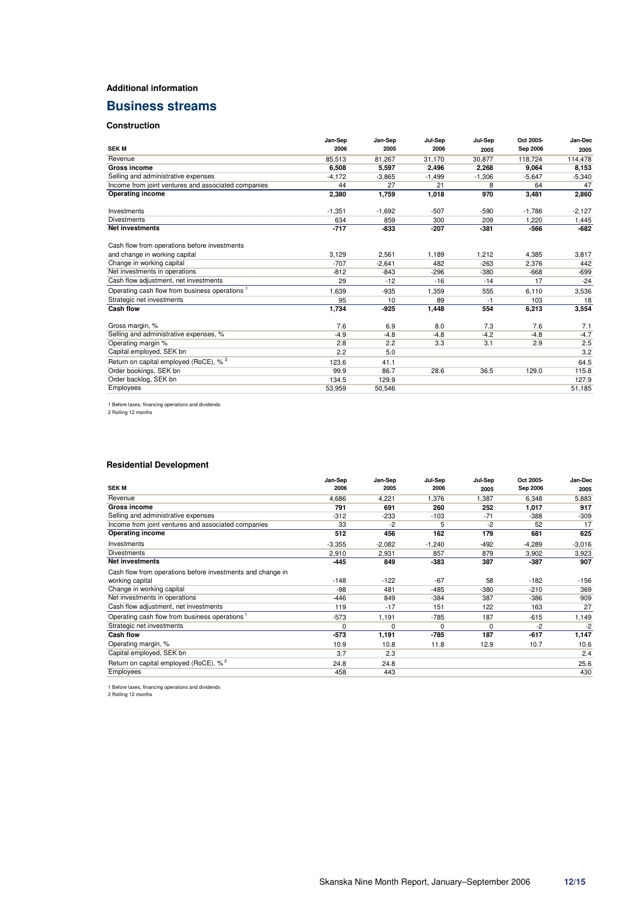### **Additional information**

# **Business streams**

### **Construction**

|                                                     | Jan-Sep  | Jan-Sep  | Jul-Sep  | Jul-Sep  | Oct 2005- | Jan-Dec  |
|-----------------------------------------------------|----------|----------|----------|----------|-----------|----------|
| <b>SEKM</b>                                         | 2006     | 2005     | 2006     | 2005     | Sep 2006  | 2005     |
| Revenue                                             | 85,513   | 81.267   | 31.170   | 30.877   | 118.724   | 114,478  |
| <b>Gross income</b>                                 | 6,508    | 5,597    | 2,496    | 2.268    | 9.064     | 8,153    |
| Selling and administrative expenses                 | $-4.172$ | $-3,865$ | $-1,499$ | $-1,306$ | $-5,647$  | $-5,340$ |
| Income from joint ventures and associated companies | 44       | 27       | 21       | 8        | 64        | 47       |
| Operating income                                    | 2,380    | 1,759    | 1,018    | 970      | 3,481     | 2,860    |
| Investments                                         | $-1,351$ | $-1,692$ | $-507$   | $-590$   | $-1,786$  | $-2,127$ |
| <b>Divestments</b>                                  | 634      | 859      | 300      | 209      | 1,220     | 1,445    |
| <b>Net investments</b>                              | $-717$   | $-833$   | $-207$   | $-381$   | $-566$    | $-682$   |
| Cash flow from operations before investments        |          |          |          |          |           |          |
| and change in working capital                       | 3,129    | 2,561    | 1,189    | 1,212    | 4,385     | 3,817    |
| Change in working capital                           | $-707$   | $-2.641$ | 482      | $-263$   | 2.376     | 442      |
| Net investments in operations                       | $-812$   | $-843$   | $-296$   | $-380$   | $-668$    | $-699$   |
| Cash flow adjustment, net investments               | 29       | $-12$    | $-16$    | $-14$    | 17        | $-24$    |
| Operating cash flow from business operations        | 1,639    | $-935$   | 1,359    | 555      | 6,110     | 3,536    |
| Strategic net investments                           | 95       | 10       | 89       | -1       | 103       | 18       |
| <b>Cash flow</b>                                    | 1,734    | $-925$   | 1,448    | 554      | 6,213     | 3,554    |
| Gross margin, %                                     | 7.6      | 6.9      | 8.0      | 7.3      | 7.6       | 7.1      |
| Selling and administrative expenses, %              | $-4.9$   | $-4.8$   | $-4.8$   | $-4.2$   | $-4.8$    | $-4.7$   |
| Operating margin %                                  | 2.8      | 2.2      | 3.3      | 3.1      | 2.9       | 2.5      |
| Capital employed, SEK bn                            | 2.2      | 5.0      |          |          |           | 3.2      |
| Return on capital employed (RoCE), % <sup>2</sup>   | 123.6    | 41.1     |          |          |           | 64.5     |
| Order bookings, SEK bn                              | 99.9     | 86.7     | 28.6     | 36.5     | 129.0     | 115.8    |
| Order backlog, SEK bn                               | 134.5    | 129.9    |          |          |           | 127.9    |
| Employees                                           | 53.959   | 50,546   |          |          |           | 51,185   |

1 Before taxes, financing operations and dividends 2 Rolling 12 months

### **Residential Development**

|                                                            | Jan-Sep     | Jan-Sep  | Jul-Sep  | Jul-Sep | Oct 2005- | Jan-Dec  |
|------------------------------------------------------------|-------------|----------|----------|---------|-----------|----------|
| <b>SEKM</b>                                                | 2006        | 2005     | 2006     | 2005    | Sep 2006  | 2005     |
| Revenue                                                    | 4,686       | 4,221    | 1,376    | 1,387   | 6,348     | 5,883    |
| <b>Gross income</b>                                        | 791         | 691      | 260      | 252     | 1,017     | 917      |
| Selling and administrative expenses                        | $-312$      | $-233$   | $-103$   | $-71$   | $-388$    | $-309$   |
| Income from joint ventures and associated companies        | 33          | $-2$     | 5        | -2      | 52        | 17       |
| <b>Operating income</b>                                    | 512         | 456      | 162      | 179     | 681       | 625      |
| Investments                                                | $-3,355$    | $-2,082$ | $-1,240$ | $-492$  | $-4,289$  | $-3,016$ |
| <b>Divestments</b>                                         | 2,910       | 2,931    | 857      | 879     | 3,902     | 3,923    |
| <b>Net investments</b>                                     | -445        | 849      | $-383$   | 387     | $-387$    | 907      |
| Cash flow from operations before investments and change in |             |          |          |         |           |          |
| working capital                                            | $-148$      | $-122$   | $-67$    | 58      | $-182$    | $-156$   |
| Change in working capital                                  | $-98$       | 481      | $-485$   | $-380$  | $-210$    | 369      |
| Net investments in operations                              | $-446$      | 849      | $-384$   | 387     | $-386$    | 909      |
| Cash flow adjustment, net investments                      | 119         | $-17$    | 151      | 122     | 163       | 27       |
| Operating cash flow from business operations 1             | $-573$      | 1,191    | $-785$   | 187     | $-615$    | 1,149    |
| Strategic net investments                                  | $\mathbf 0$ | 0        | 0        | 0       | -2        | $-2$     |
| <b>Cash flow</b>                                           | $-573$      | 1,191    | $-785$   | 187     | $-617$    | 1,147    |
| Operating margin, %                                        | 10.9        | 10.8     | 11.8     | 12.9    | 10.7      | 10.6     |
| Capital employed, SEK bn                                   | 3.7         | 2.3      |          |         |           | 2.4      |
| Return on capital employed (RoCE), % <sup>2</sup>          | 24.8        | 24.8     |          |         |           | 25.6     |
| <b>Employees</b>                                           | 458         | 443      |          |         |           | 430      |

1 Before taxes, financing operations and dividends 2 Rolling 12 months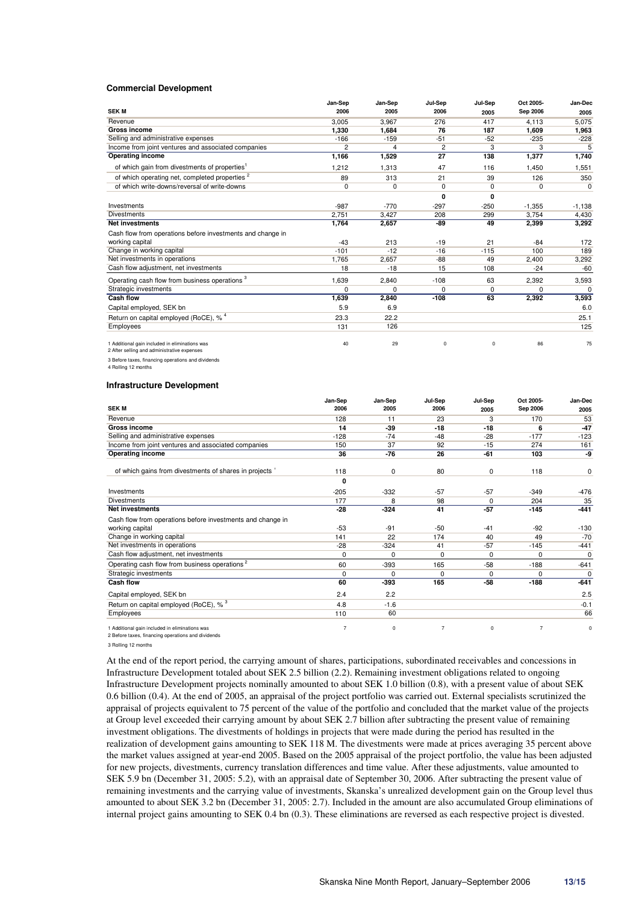#### **Commercial Development**

|                                                                                               | Jan-Sep        | Jan-Sep | Jul-Sep  | Jul-Sep     | Oct 2005- | Jan-Dec     |
|-----------------------------------------------------------------------------------------------|----------------|---------|----------|-------------|-----------|-------------|
| <b>SEK M</b>                                                                                  | 2006           | 2005    | 2006     | 2005        | Sep 2006  | 2005        |
| Revenue                                                                                       | 3,005          | 3,967   | 276      | 417         | 4,113     | 5,075       |
| <b>Gross income</b>                                                                           | 1,330          | 1,684   | 76       | 187         | 1,609     | 1,963       |
| Selling and administrative expenses                                                           | $-166$         | $-159$  | $-51$    | $-52$       | $-235$    | $-228$      |
| Income from joint ventures and associated companies                                           | $\overline{2}$ | 4       | 2        | 3           | 3         | 5           |
| Operating income                                                                              | 1,166          | 1,529   | 27       | 138         | 1,377     | 1,740       |
| of which gain from divestments of properties <sup>1</sup>                                     | 1,212          | 1,313   | 47       | 116         | 1,450     | 1,551       |
| of which operating net, completed properties <sup>2</sup>                                     | 89             | 313     | 21       | 39          | 126       | 350         |
| of which write-downs/reversal of write-downs                                                  | $\mathbf 0$    | 0       | $\Omega$ | $\Omega$    | $\Omega$  | $\mathbf 0$ |
|                                                                                               |                |         | 0        | 0           |           |             |
| Investments                                                                                   | $-987$         | $-770$  | $-297$   | $-250$      | $-1.355$  | $-1,138$    |
| <b>Divestments</b>                                                                            | 2,751          | 3,427   | 208      | 299         | 3,754     | 4,430       |
| <b>Net investments</b>                                                                        | 1,764          | 2,657   | -89      | 49          | 2,399     | 3,292       |
| Cash flow from operations before investments and change in                                    |                |         |          |             |           |             |
| working capital                                                                               | $-43$          | 213     | $-19$    | 21          | $-84$     | 172         |
| Change in working capital                                                                     | $-101$         | $-12$   | $-16$    | $-115$      | 100       | 189         |
| Net investments in operations                                                                 | 1.765          | 2,657   | $-88$    | 49          | 2.400     | 3,292       |
| Cash flow adjustment, net investments                                                         | 18             | $-18$   | 15       | 108         | $-24$     | $-60$       |
| Operating cash flow from business operations <sup>3</sup>                                     | 1,639          | 2,840   | $-108$   | 63          | 2,392     | 3,593       |
| Strategic investments                                                                         | $\Omega$       | 0       | 0        | $\mathbf 0$ | $\Omega$  | $\Omega$    |
| <b>Cash flow</b>                                                                              | 1,639          | 2,840   | $-108$   | 63          | 2,392     | 3,593       |
| Capital employed, SEK bn                                                                      | 5.9            | 6.9     |          |             |           | 6.0         |
| Return on capital employed (RoCE), % <sup>4</sup>                                             | 23.3           | 22.2    |          |             |           | 25.1        |
| Employees                                                                                     | 131            | 126     |          |             |           | 125         |
| 1 Additional gain included in eliminations was<br>2 After selling and administrative expenses | 40             | 29      | 0        | 0           | 86        | 75          |

3 Before taxes, financing operations and dividends 4 Rolling 12 months

#### **Infrastructure Development**

|                                                            | Jan-Sep        | Jan-Sep     | Jul-Sep  | Jul-Sep     | Oct 2005- | Jan-Dec  |
|------------------------------------------------------------|----------------|-------------|----------|-------------|-----------|----------|
| <b>SEKM</b>                                                | 2006           | 2005        | 2006     | 2005        | Sep 2006  | 2005     |
| Revenue                                                    | 128            | 11          | 23       | 3           | 170       | 53       |
| <b>Gross income</b>                                        | 14             | $-39$       | $-18$    | $-18$       | 6         | $-47$    |
| Selling and administrative expenses                        | $-128$         | $-74$       | $-48$    | $-28$       | $-177$    | $-123$   |
| Income from joint ventures and associated companies        | 150            | 37          | 92       | $-15$       | 274       | 161      |
| <b>Operating income</b>                                    | 36             | $-76$       | 26       | $-61$       | 103       | -9       |
| of which gains from divestments of shares in projects 1    | 118            | $\mathbf 0$ | 80       | 0           | 118       | 0        |
|                                                            | 0              |             |          |             |           |          |
| Investments                                                | $-205$         | -332        | $-57$    | $-57$       | $-349$    | $-476$   |
| <b>Divestments</b>                                         | 177            | 8           | 98       | 0           | 204       | 35       |
| <b>Net investments</b>                                     | $-28$          | $-324$      | 41       | $-57$       | $-145$    | $-441$   |
| Cash flow from operations before investments and change in |                |             |          |             |           |          |
| working capital                                            | $-53$          | $-91$       | $-50$    | $-41$       | $-92$     | $-130$   |
| Change in working capital                                  | 141            | 22          | 174      | 40          | 49        | $-70$    |
| Net investments in operations                              | $-28$          | $-324$      | 41       | $-57$       | $-145$    | $-441$   |
| Cash flow adjustment, net investments                      | 0              | 0           | $\Omega$ | 0           | 0         | $\Omega$ |
| Operating cash flow from business operations <sup>2</sup>  | 60             | $-393$      | 165      | $-58$       | $-188$    | $-641$   |
| Strategic investments                                      | 0              | $\Omega$    | $\Omega$ | 0           | $\Omega$  | $\Omega$ |
| Cash flow                                                  | 60             | -393        | 165      | $-58$       | $-188$    | $-641$   |
| Capital employed, SEK bn                                   | 2.4            | 2.2         |          |             |           | 2.5      |
| Return on capital employed (RoCE), % <sup>3</sup>          | 4.8            | $-1.6$      |          |             |           | $-0.1$   |
| Employees                                                  | 110            | 60          |          |             |           | 66       |
| 1 Additional gain included in eliminations was             | $\overline{7}$ | 0           |          | $\mathbf 0$ |           | O        |

2 Before taxes, financing operations and dividends

3 Rolling 12 months

At the end of the report period, the carrying amount of shares, participations, subordinated receivables and concessions in Infrastructure Development totaled about SEK 2.5 billion (2.2). Remaining investment obligations related to ongoing Infrastructure Development projects nominally amounted to about SEK 1.0 billion (0.8), with a present value of about SEK 0.6 billion (0.4). At the end of 2005, an appraisal of the project portfolio was carried out. External specialists scrutinized the appraisal of projects equivalent to 75 percent of the value of the portfolio and concluded that the market value of the projects at Group level exceeded their carrying amount by about SEK 2.7 billion after subtracting the present value of remaining investment obligations. The divestments of holdings in projects that were made during the period has resulted in the realization of development gains amounting to SEK 118 M. The divestments were made at prices averaging 35 percent above the market values assigned at year-end 2005. Based on the 2005 appraisal of the project portfolio, the value has been adjusted for new projects, divestments, currency translation differences and time value. After these adjustments, value amounted to SEK 5.9 bn (December 31, 2005: 5.2), with an appraisal date of September 30, 2006. After subtracting the present value of remaining investments and the carrying value of investments, Skanska's unrealized development gain on the Group level thus amounted to about SEK 3.2 bn (December 31, 2005: 2.7). Included in the amount are also accumulated Group eliminations of internal project gains amounting to SEK 0.4 bn (0.3). These eliminations are reversed as each respective project is divested.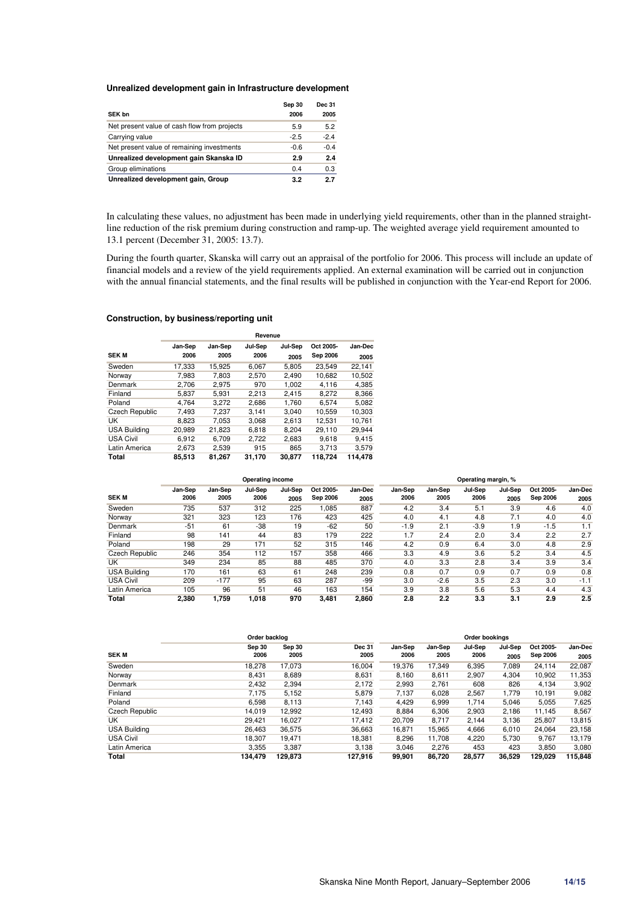### **Unrealized development gain in Infrastructure development**

| <b>SEK bn</b>                                | Sep 30<br>2006 | <b>Dec 31</b><br>2005 |
|----------------------------------------------|----------------|-----------------------|
| Net present value of cash flow from projects | 5.9            | 5.2                   |
| Carrying value                               | $-2.5$         | $-2.4$                |
| Net present value of remaining investments   | $-0.6$         | $-0.4$                |
| Unrealized development gain Skanska ID       | 2.9            | 2.4                   |
| Group eliminations                           | 0.4            | 0.3                   |
| Unrealized development gain, Group           | 3.2            | 2.7                   |

In calculating these values, no adjustment has been made in underlying yield requirements, other than in the planned straightline reduction of the risk premium during construction and ramp-up. The weighted average yield requirement amounted to 13.1 percent (December 31, 2005: 13.7).

During the fourth quarter, Skanska will carry out an appraisal of the portfolio for 2006. This process will include an update of financial models and a review of the yield requirements applied. An external examination will be carried out in conjunction with the annual financial statements, and the final results will be published in conjunction with the Year-end Report for 2006.

#### **Construction, by business/reporting unit**

|                       | Revenue |         |         |         |           |         |  |  |
|-----------------------|---------|---------|---------|---------|-----------|---------|--|--|
|                       | Jan-Sep | Jan-Sep | Jul-Sep | Jul-Sep | Oct 2005- | Jan-Dec |  |  |
| <b>SEK M</b>          | 2006    | 2005    | 2006    | 2005    | Sep 2006  | 2005    |  |  |
| Sweden                | 17.333  | 15.925  | 6.067   | 5.805   | 23.549    | 22.141  |  |  |
| Norway                | 7,983   | 7,803   | 2,570   | 2,490   | 10,682    | 10,502  |  |  |
| Denmark               | 2.706   | 2.975   | 970     | 1.002   | 4.116     | 4,385   |  |  |
| Finland               | 5.837   | 5,931   | 2.213   | 2.415   | 8.272     | 8,366   |  |  |
| Poland                | 4.764   | 3.272   | 2,686   | 1.760   | 6.574     | 5,082   |  |  |
| <b>Czech Republic</b> | 7,493   | 7,237   | 3,141   | 3,040   | 10,559    | 10,303  |  |  |
| UK                    | 8.823   | 7.053   | 3.068   | 2.613   | 12.531    | 10.761  |  |  |
| <b>USA Building</b>   | 20.989  | 21.823  | 6.818   | 8.204   | 29.110    | 29.944  |  |  |
| <b>USA Civil</b>      | 6.912   | 6.709   | 2.722   | 2,683   | 9.618     | 9.415   |  |  |
| Latin America         | 2,673   | 2,539   | 915     | 865     | 3.713     | 3,579   |  |  |
| Total                 | 85,513  | 81,267  | 31,170  | 30,877  | 118,724   | 114,478 |  |  |

|                       | Operating income |                 |                 |                 |                              |                 | Operating margin, % |                 |                 |                 |                       |                 |
|-----------------------|------------------|-----------------|-----------------|-----------------|------------------------------|-----------------|---------------------|-----------------|-----------------|-----------------|-----------------------|-----------------|
| <b>SEK M</b>          | Jan-Sep<br>2006  | Jan-Sep<br>2005 | Jul-Sep<br>2006 | Jul-Sep<br>2005 | Oct 2005-<br><b>Sep 2006</b> | Jan-Dec<br>2005 | Jan-Sep<br>2006     | Jan-Sep<br>2005 | Jul-Sep<br>2006 | Jul-Sep<br>2005 | Oct 2005-<br>Sep 2006 | Jan-Dec<br>2005 |
| Sweden                | 735              | 537             | 312             | 225             | 1,085                        | 887             | 4.2                 | 3.4             | 5.1             | 3.9             | 4.6                   | 4.0             |
| Norway                | 321              | 323             | 123             | 176             | 423                          | 425             | 4.0                 | 4.1             | 4.8             | 7.1             | 4.0                   | 4.0             |
| Denmark               | $-51$            | 61              | $-38$           | 19              | $-62$                        | 50              | $-1.9$              | 2.1             | $-3.9$          | 1.9             | $-1.5$                | 1.1             |
| Finland               | 98               | 141             | 44              | 83              | 179                          | 222             | 1.7                 | 2.4             | 2.0             | 3.4             | 2.2                   | 2.7             |
| Poland                | 198              | 29              | 171             | 52              | 315                          | 146             | 4.2                 | 0.9             | 6.4             | 3.0             | 4.8                   | 2.9             |
| <b>Czech Republic</b> | 246              | 354             | 112             | 157             | 358                          | 466             | 3.3                 | 4.9             | 3.6             | 5.2             | 3.4                   | 4.5             |
| UK                    | 349              | 234             | 85              | 88              | 485                          | 370             | 4.0                 | 3.3             | 2.8             | 3.4             | 3.9                   | 3.4             |
| <b>USA Building</b>   | 170              | 161             | 63              | 61              | 248                          | 239             | 0.8                 | 0.7             | 0.9             | 0.7             | 0.9                   | 0.8             |
| <b>USA Civil</b>      | 209              | $-177$          | 95              | 63              | 287                          | -99             | 3.0                 | $-2.6$          | 3.5             | 2.3             | 3.0                   | $-1.1$          |
| Latin America         | 105              | 96              | 51              | 46              | 163                          | 154             | 3.9                 | 3.8             | 5.6             | 5.3             | 4.4                   | 4.3             |
| Total                 | 2.380            | 1.759           | 1,018           | 970             | 3.481                        | 2.860           | 2.8                 | 2.2             | 3.3             | 3.1             | 2.9                   | 2.5             |

|                       | Order backlog  |                |                       |                 |                 | Order bookings  |                 |                       |                 |
|-----------------------|----------------|----------------|-----------------------|-----------------|-----------------|-----------------|-----------------|-----------------------|-----------------|
| <b>SEK M</b>          | Sep 30<br>2006 | Sep 30<br>2005 | <b>Dec 31</b><br>2005 | Jan-Sep<br>2006 | Jan-Sep<br>2005 | Jul-Sep<br>2006 | Jul-Sep<br>2005 | Oct 2005-<br>Sep 2006 | Jan-Dec<br>2005 |
| Sweden                | 18.278         | 17,073         | 16,004                | 19,376          | 17,349          | 6,395           | 7,089           | 24,114                | 22,087          |
| Norway                | 8,431          | 8,689          | 8,631                 | 8.160           | 8,611           | 2,907           | 4,304           | 10,902                | 11,353          |
| Denmark               | 2,432          | 2,394          | 2,172                 | 2,993           | 2,761           | 608             | 826             | 4,134                 | 3,902           |
| Finland               | 7,175          | 5,152          | 5,879                 | 7,137           | 6,028           | 2,567           | 1,779           | 10,191                | 9,082           |
| Poland                | 6,598          | 8,113          | 7,143                 | 4,429           | 6,999           | 1,714           | 5,046           | 5,055                 | 7,625           |
| <b>Czech Republic</b> | 14.019         | 12,992         | 12,493                | 8,884           | 6,306           | 2,903           | 2.186           | 11.145                | 8,567           |
| UK                    | 29,421         | 16,027         | 17,412                | 20,709          | 8,717           | 2,144           | 3,136           | 25,807                | 13,815          |
| <b>USA Building</b>   | 26.463         | 36,575         | 36,663                | 16,871          | 15,965          | 4,666           | 6.010           | 24,064                | 23,158          |
| <b>USA Civil</b>      | 18,307         | 19,471         | 18,381                | 8,296           | 11,708          | 4,220           | 5,730           | 9,767                 | 13,179          |
| Latin America         | 3,355          | 3,387          | 3,138                 | 3,046           | 2,276           | 453             | 423             | 3,850                 | 3,080           |
| Total                 | 134.479        | 129.873        | 127.916               | 99,901          | 86.720          | 28.577          | 36,529          | 129.029               | 115,848         |